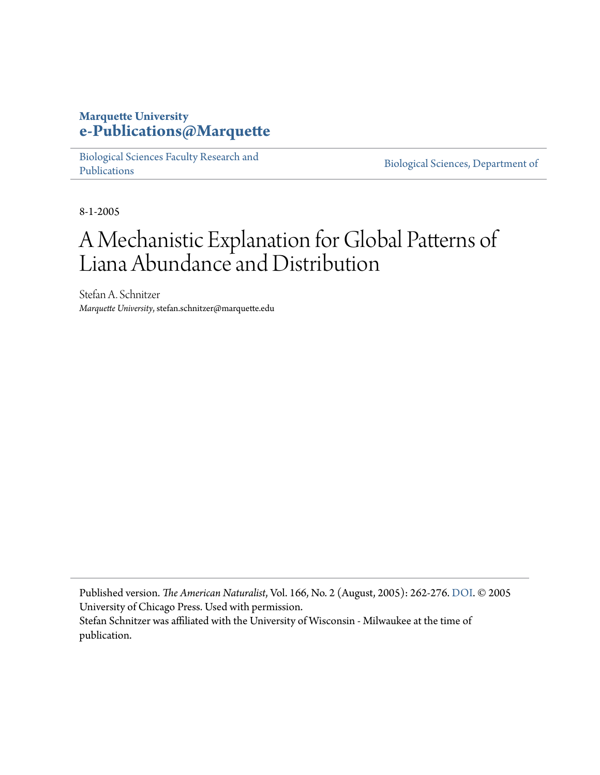### **Marquette University [e-Publications@Marquette](https://epublications.marquette.edu/)**

[Biological Sciences Faculty Research and](https://epublications.marquette.edu/bio_fac) [Publications](https://epublications.marquette.edu/bio_fac)

[Biological Sciences, Department of](https://epublications.marquette.edu/biology)

8-1-2005

# A Mechanistic Explanation for Global Patterns of Liana Abundance and Distribution

Stefan A. Schnitzer *Marquette University*, stefan.schnitzer@marquette.edu

Published version. *The American Naturalist*, Vol. 166, No. 2 (August, 2005): 262-276. [DOI.](https://marq.sharepoint.com/teams/RM-ResourceManagement/Shared%20Documents/Digital%20Programs/IR/Faculty/College_Arts-Science/Biology/Schnitzer/10.1086/431250) © 2005 University of Chicago Press. Used with permission. Stefan Schnitzer was affiliated with the University of Wisconsin - Milwaukee at the time of publication.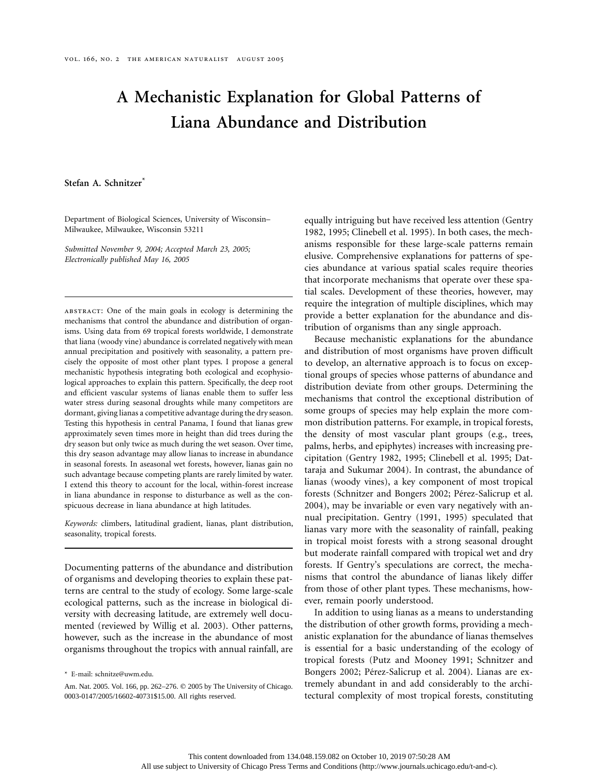## **A Mechanistic Explanation for Global Patterns of Liana Abundance and Distribution**

**Stefan A. Schnitzer**\*

Department of Biological Sciences, University of Wisconsin– Milwaukee, Milwaukee, Wisconsin 53211

*Submitted November 9, 2004; Accepted March 23, 2005; Electronically published May 16, 2005*

abstract: One of the main goals in ecology is determining the mechanisms that control the abundance and distribution of organisms. Using data from 69 tropical forests worldwide, I demonstrate that liana (woody vine) abundance is correlated negatively with mean annual precipitation and positively with seasonality, a pattern precisely the opposite of most other plant types. I propose a general mechanistic hypothesis integrating both ecological and ecophysiological approaches to explain this pattern. Specifically, the deep root and efficient vascular systems of lianas enable them to suffer less water stress during seasonal droughts while many competitors are dormant, giving lianas a competitive advantage during the dry season. Testing this hypothesis in central Panama, I found that lianas grew approximately seven times more in height than did trees during the dry season but only twice as much during the wet season. Over time, this dry season advantage may allow lianas to increase in abundance in seasonal forests. In aseasonal wet forests, however, lianas gain no such advantage because competing plants are rarely limited by water. I extend this theory to account for the local, within-forest increase in liana abundance in response to disturbance as well as the conspicuous decrease in liana abundance at high latitudes.

*Keywords:* climbers, latitudinal gradient, lianas, plant distribution, seasonality, tropical forests.

Documenting patterns of the abundance and distribution of organisms and developing theories to explain these patterns are central to the study of ecology. Some large-scale ecological patterns, such as the increase in biological diversity with decreasing latitude, are extremely well documented (reviewed by Willig et al. 2003). Other patterns, however, such as the increase in the abundance of most organisms throughout the tropics with annual rainfall, are equally intriguing but have received less attention (Gentry 1982, 1995; Clinebell et al. 1995). In both cases, the mechanisms responsible for these large-scale patterns remain elusive. Comprehensive explanations for patterns of species abundance at various spatial scales require theories that incorporate mechanisms that operate over these spatial scales. Development of these theories, however, may require the integration of multiple disciplines, which may provide a better explanation for the abundance and distribution of organisms than any single approach.

Because mechanistic explanations for the abundance and distribution of most organisms have proven difficult to develop, an alternative approach is to focus on exceptional groups of species whose patterns of abundance and distribution deviate from other groups. Determining the mechanisms that control the exceptional distribution of some groups of species may help explain the more common distribution patterns. For example, in tropical forests, the density of most vascular plant groups (e.g., trees, palms, herbs, and epiphytes) increases with increasing precipitation (Gentry 1982, 1995; Clinebell et al. 1995; Dattaraja and Sukumar 2004). In contrast, the abundance of lianas (woody vines), a key component of most tropical forests (Schnitzer and Bongers 2002; Pérez-Salicrup et al. 2004), may be invariable or even vary negatively with annual precipitation. Gentry (1991, 1995) speculated that lianas vary more with the seasonality of rainfall, peaking in tropical moist forests with a strong seasonal drought but moderate rainfall compared with tropical wet and dry forests. If Gentry's speculations are correct, the mechanisms that control the abundance of lianas likely differ from those of other plant types. These mechanisms, however, remain poorly understood.

In addition to using lianas as a means to understanding the distribution of other growth forms, providing a mechanistic explanation for the abundance of lianas themselves is essential for a basic understanding of the ecology of tropical forests (Putz and Mooney 1991; Schnitzer and Bongers 2002; Pérez-Salicrup et al. 2004). Lianas are extremely abundant in and add considerably to the architectural complexity of most tropical forests, constituting

<sup>\*</sup> E-mail: schnitze@uwm.edu.

Am. Nat. 2005. Vol. 166, pp. 262-276. © 2005 by The University of Chicago. 0003-0147/2005/16602-40731\$15.00. All rights reserved.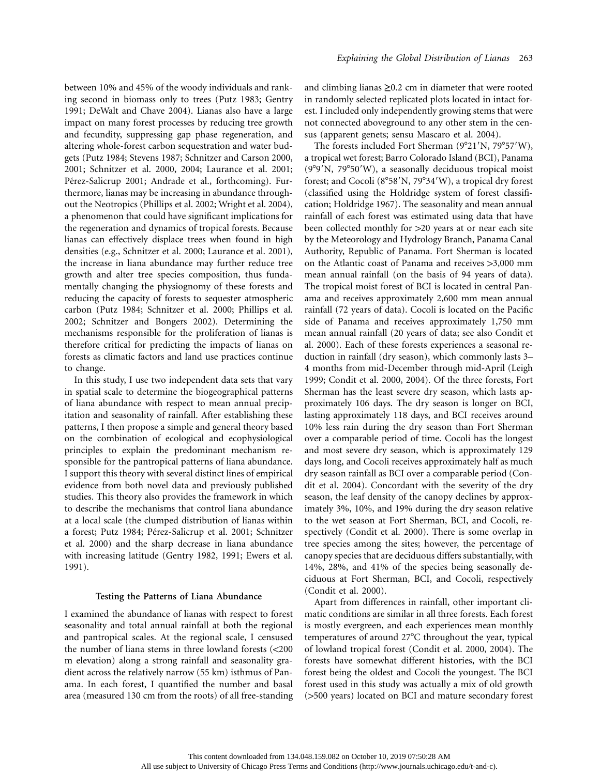between 10% and 45% of the woody individuals and ranking second in biomass only to trees (Putz 1983; Gentry 1991; DeWalt and Chave 2004). Lianas also have a large impact on many forest processes by reducing tree growth and fecundity, suppressing gap phase regeneration, and altering whole-forest carbon sequestration and water budgets (Putz 1984; Stevens 1987; Schnitzer and Carson 2000, 2001; Schnitzer et al. 2000, 2004; Laurance et al. 2001; Pérez-Salicrup 2001; Andrade et al., forthcoming). Furthermore, lianas may be increasing in abundance throughout the Neotropics (Phillips et al. 2002; Wright et al. 2004), a phenomenon that could have significant implications for the regeneration and dynamics of tropical forests. Because lianas can effectively displace trees when found in high densities (e.g., Schnitzer et al. 2000; Laurance et al. 2001), the increase in liana abundance may further reduce tree growth and alter tree species composition, thus fundamentally changing the physiognomy of these forests and reducing the capacity of forests to sequester atmospheric carbon (Putz 1984; Schnitzer et al. 2000; Phillips et al. 2002; Schnitzer and Bongers 2002). Determining the mechanisms responsible for the proliferation of lianas is therefore critical for predicting the impacts of lianas on forests as climatic factors and land use practices continue to change.

In this study, I use two independent data sets that vary in spatial scale to determine the biogeographical patterns of liana abundance with respect to mean annual precipitation and seasonality of rainfall. After establishing these patterns, I then propose a simple and general theory based on the combination of ecological and ecophysiological principles to explain the predominant mechanism responsible for the pantropical patterns of liana abundance. I support this theory with several distinct lines of empirical evidence from both novel data and previously published studies. This theory also provides the framework in which to describe the mechanisms that control liana abundance at a local scale (the clumped distribution of lianas within a forest; Putz 1984; Pérez-Salicrup et al. 2001; Schnitzer et al. 2000) and the sharp decrease in liana abundance with increasing latitude (Gentry 1982, 1991; Ewers et al. 1991).

#### **Testing the Patterns of Liana Abundance**

I examined the abundance of lianas with respect to forest seasonality and total annual rainfall at both the regional and pantropical scales. At the regional scale, I censused the number of liana stems in three lowland forests  $\left( < 200 \right)$ m elevation) along a strong rainfall and seasonality gradient across the relatively narrow (55 km) isthmus of Panama. In each forest, I quantified the number and basal area (measured 130 cm from the roots) of all free-standing

and climbing lianas  $\geq 0.2$  cm in diameter that were rooted in randomly selected replicated plots located in intact forest. I included only independently growing stems that were not connected aboveground to any other stem in the census (apparent genets; sensu Mascaro et al. 2004).

The forests included Fort Sherman (9°21'N, 79°57'W), a tropical wet forest; Barro Colorado Island (BCI), Panama (9°9'N, 79°50'W), a seasonally deciduous tropical moist forest; and Cocoli (8°58'N, 79°34'W), a tropical dry forest (classified using the Holdridge system of forest classification; Holdridge 1967). The seasonality and mean annual rainfall of each forest was estimated using data that have been collected monthly for >20 years at or near each site by the Meteorology and Hydrology Branch, Panama Canal Authority, Republic of Panama. Fort Sherman is located on the Atlantic coast of Panama and receives  $>3,000$  mm mean annual rainfall (on the basis of 94 years of data). The tropical moist forest of BCI is located in central Panama and receives approximately 2,600 mm mean annual rainfall (72 years of data). Cocoli is located on the Pacific side of Panama and receives approximately 1,750 mm mean annual rainfall (20 years of data; see also Condit et al. 2000). Each of these forests experiences a seasonal reduction in rainfall (dry season), which commonly lasts 3– 4 months from mid-December through mid-April (Leigh 1999; Condit et al. 2000, 2004). Of the three forests, Fort Sherman has the least severe dry season, which lasts approximately 106 days. The dry season is longer on BCI, lasting approximately 118 days, and BCI receives around 10% less rain during the dry season than Fort Sherman over a comparable period of time. Cocoli has the longest and most severe dry season, which is approximately 129 days long, and Cocoli receives approximately half as much dry season rainfall as BCI over a comparable period (Condit et al. 2004). Concordant with the severity of the dry season, the leaf density of the canopy declines by approximately 3%, 10%, and 19% during the dry season relative to the wet season at Fort Sherman, BCI, and Cocoli, respectively (Condit et al. 2000). There is some overlap in tree species among the sites; however, the percentage of canopy species that are deciduous differs substantially, with 14%, 28%, and 41% of the species being seasonally deciduous at Fort Sherman, BCI, and Cocoli, respectively (Condit et al. 2000).

Apart from differences in rainfall, other important climatic conditions are similar in all three forests. Each forest is mostly evergreen, and each experiences mean monthly temperatures of around 27°C throughout the year, typical of lowland tropical forest (Condit et al. 2000, 2004). The forests have somewhat different histories, with the BCI forest being the oldest and Cocoli the youngest. The BCI forest used in this study was actually a mix of old growth ( $>500$  years) located on BCI and mature secondary forest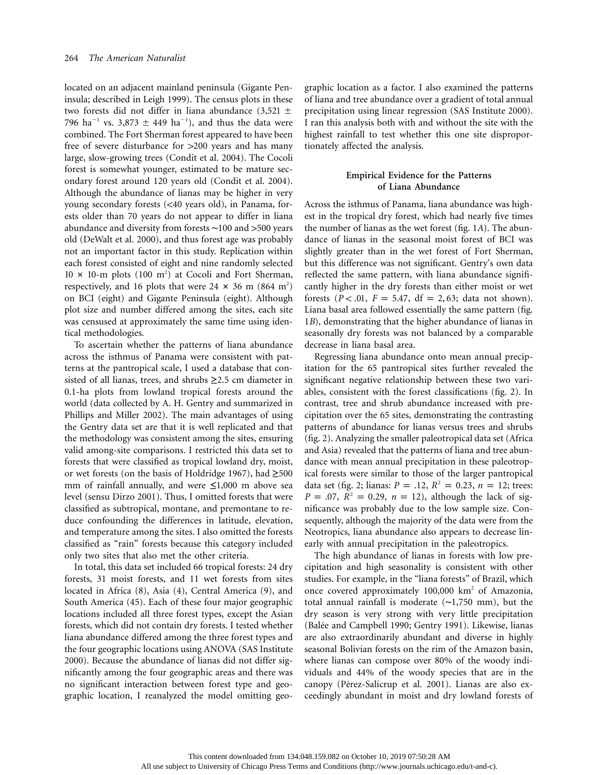located on an adjacent mainland peninsula (Gigante Peninsula; described in Leigh 1999). The census plots in these two forests did not differ in liana abundance (3,521  $\pm$ 796 ha<sup>-1</sup> vs. 3,873  $\pm$  449 ha<sup>-1</sup>), and thus the data were combined. The Fort Sherman forest appeared to have been free of severe disturbance for  $>200$  years and has many large, slow-growing trees (Condit et al. 2004). The Cocoli forest is somewhat younger, estimated to be mature secondary forest around 120 years old (Condit et al. 2004). Although the abundance of lianas may be higher in very young secondary forests (<40 years old), in Panama, forests older than 70 years do not appear to differ in liana abundance and diversity from forests ~100 and >500 years old (DeWalt et al. 2000), and thus forest age was probably not an important factor in this study. Replication within each forest consisted of eight and nine randomly selected  $10 \times 10$ -m plots (100 m<sup>2</sup>) at Cocoli and Fort Sherman, respectively, and 16 plots that were  $24 \times 36$  m (864 m<sup>2</sup>) on BCI (eight) and Gigante Peninsula (eight). Although plot size and number differed among the sites, each site was censused at approximately the same time using identical methodologies.

To ascertain whether the patterns of liana abundance across the isthmus of Panama were consistent with patterns at the pantropical scale, I used a database that consisted of all lianas, trees, and shrubs  $\geq$  2.5 cm diameter in 0.1-ha plots from lowland tropical forests around the world (data collected by A. H. Gentry and summarized in Phillips and Miller 2002). The main advantages of using the Gentry data set are that it is well replicated and that the methodology was consistent among the sites, ensuring valid among-site comparisons. I restricted this data set to forests that were classified as tropical lowland dry, moist, or wet forests (on the basis of Holdridge 1967), had ≥500 mm of rainfall annually, and were ≤1,000 m above sea level (sensu Dirzo 2001). Thus, I omitted forests that were classified as subtropical, montane, and premontane to reduce confounding the differences in latitude, elevation, and temperature among the sites. I also omitted the forests classified as "rain" forests because this category included only two sites that also met the other criteria.

In total, this data set included 66 tropical forests: 24 dry forests, 31 moist forests, and 11 wet forests from sites located in Africa (8), Asia (4), Central America (9), and South America (45). Each of these four major geographic locations included all three forest types, except the Asian forests, which did not contain dry forests. I tested whether liana abundance differed among the three forest types and the four geographic locations using ANOVA (SAS Institute 2000). Because the abundance of lianas did not differ significantly among the four geographic areas and there was no significant interaction between forest type and geographic location, I reanalyzed the model omitting geographic location as a factor. I also examined the patterns of liana and tree abundance over a gradient of total annual precipitation using linear regression (SAS Institute 2000). I ran this analysis both with and without the site with the highest rainfall to test whether this one site disproportionately affected the analysis.

#### **Empirical Evidence for the Patterns of Liana Abundance**

Across the isthmus of Panama, liana abundance was highest in the tropical dry forest, which had nearly five times the number of lianas as the wet forest (fig. 1*A*). The abundance of lianas in the seasonal moist forest of BCI was slightly greater than in the wet forest of Fort Sherman, but this difference was not significant. Gentry's own data reflected the same pattern, with liana abundance significantly higher in the dry forests than either moist or wet forests  $(P < .01, F = 5.47, df = 2, 63$ ; data not shown). Liana basal area followed essentially the same pattern (fig. 1*B*), demonstrating that the higher abundance of lianas in seasonally dry forests was not balanced by a comparable decrease in liana basal area.

Regressing liana abundance onto mean annual precipitation for the 65 pantropical sites further revealed the significant negative relationship between these two variables, consistent with the forest classifications (fig. 2). In contrast, tree and shrub abundance increased with precipitation over the 65 sites, demonstrating the contrasting patterns of abundance for lianas versus trees and shrubs (fig. 2). Analyzing the smaller paleotropical data set (Africa and Asia) revealed that the patterns of liana and tree abundance with mean annual precipitation in these paleotropical forests were similar to those of the larger pantropical data set (fig. 2; lianas:  $P = .12$ ,  $R^2 = 0.23$ ,  $n = 12$ ; trees:  $P = .07$ ,  $R^2 = 0.29$ ,  $n = 12$ ), although the lack of significance was probably due to the low sample size. Consequently, although the majority of the data were from the Neotropics, liana abundance also appears to decrease linearly with annual precipitation in the paleotropics.

The high abundance of lianas in forests with low precipitation and high seasonality is consistent with other studies. For example, in the "liana forests" of Brazil, which once covered approximately 100,000 km2 of Amazonia, total annual rainfall is moderate (∼1,750 mm), but the dry season is very strong with very little precipitation (Balée and Campbell 1990; Gentry 1991). Likewise, lianas are also extraordinarily abundant and diverse in highly seasonal Bolivian forests on the rim of the Amazon basin, where lianas can compose over 80% of the woody individuals and 44% of the woody species that are in the canopy (Pérez-Salicrup et al. 2001). Lianas are also exceedingly abundant in moist and dry lowland forests of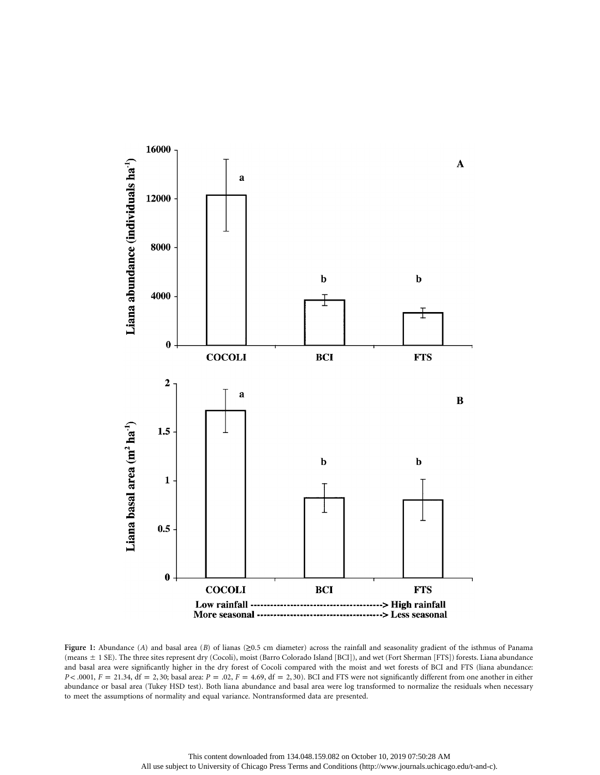

**Figure 1:** Abundance (*A*) and basal area (*B*) of lianas (≥0.5 cm diameter) across the rainfall and seasonality gradient of the isthmus of Panama (means  $\pm$  1 SE). The three sites represent dry (Cocoli), moist (Barro Colorado Island [BCI]), and wet (Fort Sherman [FTS]) forests. Liana abundance and basal area were significantly higher in the dry forest of Cocoli compared with the moist and wet forests of BCI and FTS (liana abundance:  $P$  < .0001,  $F = 21.34$ , df = 2, 30; basal area:  $P = .02$ ,  $F = 4.69$ , df = 2, 30). BCI and FTS were not significantly different from one another in either abundance or basal area (Tukey HSD test). Both liana abundance and basal area were log transformed to normalize the residuals when necessary to meet the assumptions of normality and equal variance. Nontransformed data are presented.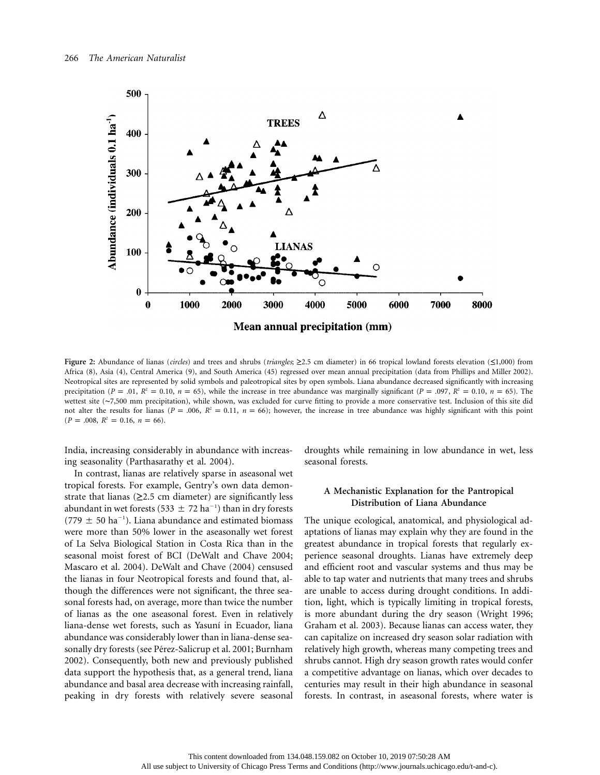

**Figure 2:** Abundance of lianas (*circles*) and trees and shrubs (*triangles*; ≥2.5 cm diameter) in 66 tropical lowland forests elevation (≤1,000) from Africa (8), Asia (4), Central America (9), and South America (45) regressed over mean annual precipitation (data from Phillips and Miller 2002). Neotropical sites are represented by solid symbols and paleotropical sites by open symbols. Liana abundance decreased significantly with increasing precipitation ( $P = .01$ ,  $R^2 = 0.10$ ,  $n = 65$ ), while the increase in tree abundance was marginally significant ( $P = .097$ ,  $R^2 = 0.10$ ,  $n = 65$ ). The wettest site (∼7,500 mm precipitation), while shown, was excluded for curve fitting to provide a more conservative test. Inclusion of this site did not alter the results for lianas ( $P = 0.06$ ,  $R^2 = 0.11$ ,  $n = 66$ ); however, the increase in tree abundance was highly significant with this point  $(P = .008, R^2 = 0.16, n = 66).$ 

India, increasing considerably in abundance with increasing seasonality (Parthasarathy et al. 2004).

In contrast, lianas are relatively sparse in aseasonal wet tropical forests. For example, Gentry's own data demonstrate that lianas  $(\geq 2.5 \text{ cm diameter})$  are significantly less abundant in wet forests (533  $\pm$  72 ha<sup>-1</sup>) than in dry forests  $(779 \pm 50 \text{ ha}^{-1})$ . Liana abundance and estimated biomass were more than 50% lower in the aseasonally wet forest of La Selva Biological Station in Costa Rica than in the seasonal moist forest of BCI (DeWalt and Chave 2004; Mascaro et al. 2004). DeWalt and Chave (2004) censused the lianas in four Neotropical forests and found that, although the differences were not significant, the three seasonal forests had, on average, more than twice the number of lianas as the one aseasonal forest. Even in relatively liana-dense wet forests, such as Yasuní in Ecuador, liana abundance was considerably lower than in liana-dense seasonally dry forests (see Pérez-Salicrup et al. 2001; Burnham 2002). Consequently, both new and previously published data support the hypothesis that, as a general trend, liana abundance and basal area decrease with increasing rainfall, peaking in dry forests with relatively severe seasonal

droughts while remaining in low abundance in wet, less seasonal forests.

#### **A Mechanistic Explanation for the Pantropical Distribution of Liana Abundance**

The unique ecological, anatomical, and physiological adaptations of lianas may explain why they are found in the greatest abundance in tropical forests that regularly experience seasonal droughts. Lianas have extremely deep and efficient root and vascular systems and thus may be able to tap water and nutrients that many trees and shrubs are unable to access during drought conditions. In addition, light, which is typically limiting in tropical forests, is more abundant during the dry season (Wright 1996; Graham et al. 2003). Because lianas can access water, they can capitalize on increased dry season solar radiation with relatively high growth, whereas many competing trees and shrubs cannot. High dry season growth rates would confer a competitive advantage on lianas, which over decades to centuries may result in their high abundance in seasonal forests. In contrast, in aseasonal forests, where water is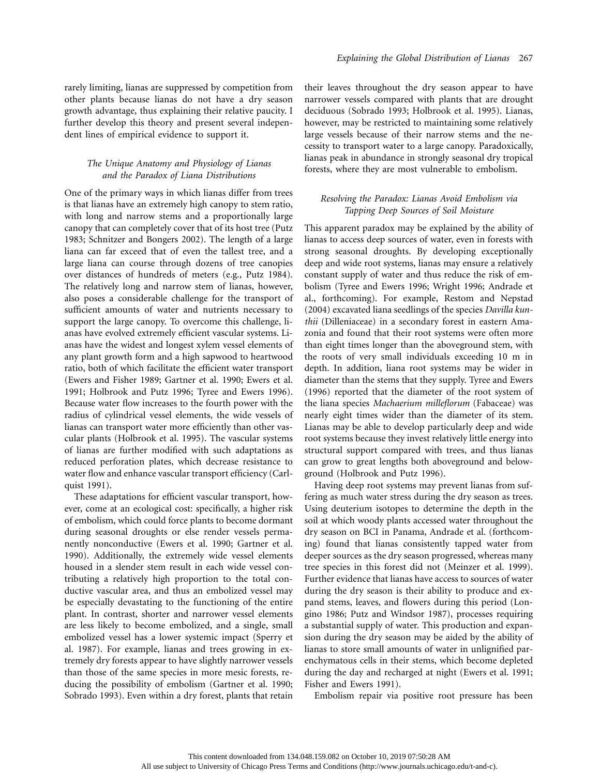growth advantage, thus explaining their relative paucity. I further develop this theory and present several independent lines of empirical evidence to support it.

#### *The Unique Anatomy and Physiology of Lianas and the Paradox of Liana Distributions*

One of the primary ways in which lianas differ from trees is that lianas have an extremely high canopy to stem ratio, with long and narrow stems and a proportionally large canopy that can completely cover that of its host tree (Putz 1983; Schnitzer and Bongers 2002). The length of a large liana can far exceed that of even the tallest tree, and a large liana can course through dozens of tree canopies over distances of hundreds of meters (e.g., Putz 1984). The relatively long and narrow stem of lianas, however, also poses a considerable challenge for the transport of sufficient amounts of water and nutrients necessary to support the large canopy. To overcome this challenge, lianas have evolved extremely efficient vascular systems. Lianas have the widest and longest xylem vessel elements of any plant growth form and a high sapwood to heartwood ratio, both of which facilitate the efficient water transport (Ewers and Fisher 1989; Gartner et al. 1990; Ewers et al. 1991; Holbrook and Putz 1996; Tyree and Ewers 1996). Because water flow increases to the fourth power with the radius of cylindrical vessel elements, the wide vessels of lianas can transport water more efficiently than other vascular plants (Holbrook et al. 1995). The vascular systems of lianas are further modified with such adaptations as reduced perforation plates, which decrease resistance to water flow and enhance vascular transport efficiency (Carlquist 1991).

These adaptations for efficient vascular transport, however, come at an ecological cost: specifically, a higher risk of embolism, which could force plants to become dormant during seasonal droughts or else render vessels permanently nonconductive (Ewers et al. 1990; Gartner et al. 1990). Additionally, the extremely wide vessel elements housed in a slender stem result in each wide vessel contributing a relatively high proportion to the total conductive vascular area, and thus an embolized vessel may be especially devastating to the functioning of the entire plant. In contrast, shorter and narrower vessel elements are less likely to become embolized, and a single, small embolized vessel has a lower systemic impact (Sperry et al. 1987). For example, lianas and trees growing in extremely dry forests appear to have slightly narrower vessels than those of the same species in more mesic forests, reducing the possibility of embolism (Gartner et al. 1990; Sobrado 1993). Even within a dry forest, plants that retain

their leaves throughout the dry season appear to have narrower vessels compared with plants that are drought deciduous (Sobrado 1993; Holbrook et al. 1995). Lianas, however, may be restricted to maintaining some relatively large vessels because of their narrow stems and the necessity to transport water to a large canopy. Paradoxically, lianas peak in abundance in strongly seasonal dry tropical forests, where they are most vulnerable to embolism.

#### *Resolving the Paradox: Lianas Avoid Embolism via Tapping Deep Sources of Soil Moisture*

This apparent paradox may be explained by the ability of lianas to access deep sources of water, even in forests with strong seasonal droughts. By developing exceptionally deep and wide root systems, lianas may ensure a relatively constant supply of water and thus reduce the risk of embolism (Tyree and Ewers 1996; Wright 1996; Andrade et al., forthcoming). For example, Restom and Nepstad (2004) excavated liana seedlings of the species *Davilla kunthii* (Dilleniaceae) in a secondary forest in eastern Amazonia and found that their root systems were often more than eight times longer than the aboveground stem, with the roots of very small individuals exceeding 10 m in depth. In addition, liana root systems may be wider in diameter than the stems that they supply. Tyree and Ewers (1996) reported that the diameter of the root system of the liana species *Machaerium milleflorum* (Fabaceae) was nearly eight times wider than the diameter of its stem. Lianas may be able to develop particularly deep and wide root systems because they invest relatively little energy into structural support compared with trees, and thus lianas can grow to great lengths both aboveground and belowground (Holbrook and Putz 1996).

Having deep root systems may prevent lianas from suffering as much water stress during the dry season as trees. Using deuterium isotopes to determine the depth in the soil at which woody plants accessed water throughout the dry season on BCI in Panama, Andrade et al. (forthcoming) found that lianas consistently tapped water from deeper sources as the dry season progressed, whereas many tree species in this forest did not (Meinzer et al. 1999). Further evidence that lianas have access to sources of water during the dry season is their ability to produce and expand stems, leaves, and flowers during this period (Longino 1986; Putz and Windsor 1987), processes requiring a substantial supply of water. This production and expansion during the dry season may be aided by the ability of lianas to store small amounts of water in unlignified parenchymatous cells in their stems, which become depleted during the day and recharged at night (Ewers et al. 1991; Fisher and Ewers 1991).

Embolism repair via positive root pressure has been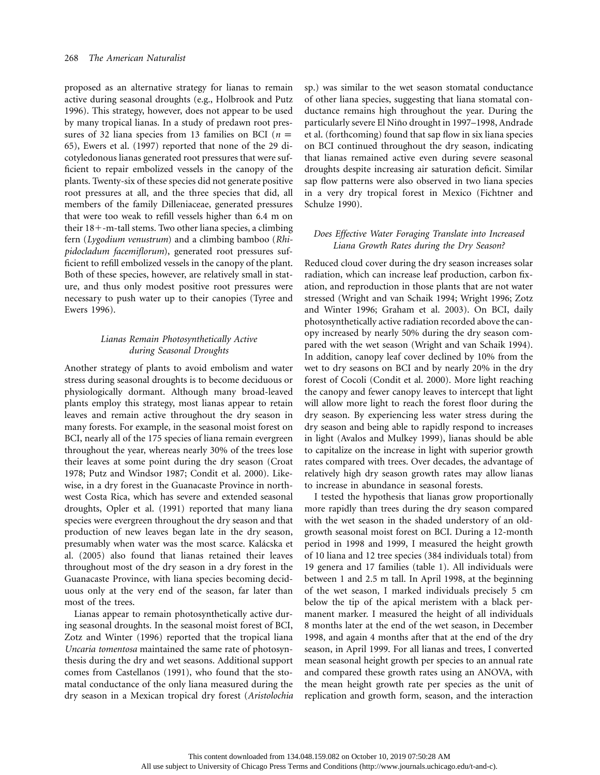proposed as an alternative strategy for lianas to remain active during seasonal droughts (e.g., Holbrook and Putz 1996). This strategy, however, does not appear to be used by many tropical lianas. In a study of predawn root pressures of 32 liana species from 13 families on BCI ( $n =$ 65), Ewers et al. (1997) reported that none of the 29 dicotyledonous lianas generated root pressures that were sufficient to repair embolized vessels in the canopy of the plants. Twenty-six of these species did not generate positive root pressures at all, and the three species that did, all members of the family Dilleniaceae, generated pressures that were too weak to refill vessels higher than 6.4 m on their 18--m-tall stems. Two other liana species, a climbing fern (*Lygodium venustrum*) and a climbing bamboo (*Rhipidocladum facemiflorum*), generated root pressures sufficient to refill embolized vessels in the canopy of the plant. Both of these species, however, are relatively small in stature, and thus only modest positive root pressures were necessary to push water up to their canopies (Tyree and Ewers 1996).

#### *Lianas Remain Photosynthetically Active during Seasonal Droughts*

Another strategy of plants to avoid embolism and water stress during seasonal droughts is to become deciduous or physiologically dormant. Although many broad-leaved plants employ this strategy, most lianas appear to retain leaves and remain active throughout the dry season in many forests. For example, in the seasonal moist forest on BCI, nearly all of the 175 species of liana remain evergreen throughout the year, whereas nearly 30% of the trees lose their leaves at some point during the dry season (Croat 1978; Putz and Windsor 1987; Condit et al. 2000). Likewise, in a dry forest in the Guanacaste Province in northwest Costa Rica, which has severe and extended seasonal droughts, Opler et al. (1991) reported that many liana species were evergreen throughout the dry season and that production of new leaves began late in the dry season, presumably when water was the most scarce. Kalácska et al. (2005) also found that lianas retained their leaves throughout most of the dry season in a dry forest in the Guanacaste Province, with liana species becoming deciduous only at the very end of the season, far later than most of the trees.

Lianas appear to remain photosynthetically active during seasonal droughts. In the seasonal moist forest of BCI, Zotz and Winter (1996) reported that the tropical liana *Uncaria tomentosa* maintained the same rate of photosynthesis during the dry and wet seasons. Additional support comes from Castellanos (1991), who found that the stomatal conductance of the only liana measured during the dry season in a Mexican tropical dry forest (*Aristolochia*

sp.) was similar to the wet season stomatal conductance of other liana species, suggesting that liana stomatal conductance remains high throughout the year. During the particularly severe El Niño drought in 1997–1998, Andrade et al. (forthcoming) found that sap flow in six liana species on BCI continued throughout the dry season, indicating that lianas remained active even during severe seasonal droughts despite increasing air saturation deficit. Similar sap flow patterns were also observed in two liana species in a very dry tropical forest in Mexico (Fichtner and Schulze 1990).

#### *Does Effective Water Foraging Translate into Increased Liana Growth Rates during the Dry Season?*

Reduced cloud cover during the dry season increases solar radiation, which can increase leaf production, carbon fixation, and reproduction in those plants that are not water stressed (Wright and van Schaik 1994; Wright 1996; Zotz and Winter 1996; Graham et al. 2003). On BCI, daily photosynthetically active radiation recorded above the canopy increased by nearly 50% during the dry season compared with the wet season (Wright and van Schaik 1994). In addition, canopy leaf cover declined by 10% from the wet to dry seasons on BCI and by nearly 20% in the dry forest of Cocoli (Condit et al. 2000). More light reaching the canopy and fewer canopy leaves to intercept that light will allow more light to reach the forest floor during the dry season. By experiencing less water stress during the dry season and being able to rapidly respond to increases in light (Avalos and Mulkey 1999), lianas should be able to capitalize on the increase in light with superior growth rates compared with trees. Over decades, the advantage of relatively high dry season growth rates may allow lianas to increase in abundance in seasonal forests.

I tested the hypothesis that lianas grow proportionally more rapidly than trees during the dry season compared with the wet season in the shaded understory of an oldgrowth seasonal moist forest on BCI. During a 12-month period in 1998 and 1999, I measured the height growth of 10 liana and 12 tree species (384 individuals total) from 19 genera and 17 families (table 1). All individuals were between 1 and 2.5 m tall. In April 1998, at the beginning of the wet season, I marked individuals precisely 5 cm below the tip of the apical meristem with a black permanent marker. I measured the height of all individuals 8 months later at the end of the wet season, in December 1998, and again 4 months after that at the end of the dry season, in April 1999. For all lianas and trees, I converted mean seasonal height growth per species to an annual rate and compared these growth rates using an ANOVA, with the mean height growth rate per species as the unit of replication and growth form, season, and the interaction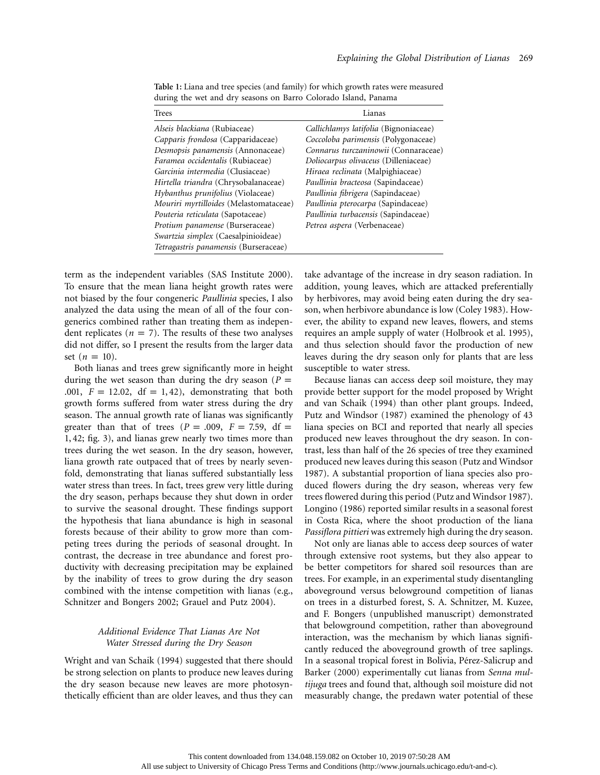| <b>Trees</b>                           | Lianas                                |
|----------------------------------------|---------------------------------------|
| Alseis blackiana (Rubiaceae)           | Callichlamys latifolia (Bignoniaceae) |
| Capparis frondosa (Capparidaceae)      | Coccoloba parimensis (Polygonaceae)   |
| Desmopsis panamensis (Annonaceae)      | Connarus turczaninowii (Connaraceae)  |
| Faramea occidentalis (Rubiaceae)       | Doliocarpus olivaceus (Dilleniaceae)  |
| Garcinia intermedia (Clusiaceae)       | Hiraea reclinata (Malpighiaceae)      |
| Hirtella triandra (Chrysobalanaceae)   | Paullinia bracteosa (Sapindaceae)     |
| Hybanthus prunifolius (Violaceae)      | Paullinia fibrigera (Sapindaceae)     |
| Mouriri myrtilloides (Melastomataceae) | Paullinia pterocarpa (Sapindaceae)    |
| Pouteria reticulata (Sapotaceae)       | Paullinia turbacensis (Sapindaceae)   |
| Protium panamense (Burseraceae)        | Petrea aspera (Verbenaceae)           |
| Swartzia simplex (Caesalpinioideae)    |                                       |
| Tetragastris panamensis (Burseraceae)  |                                       |

**Table 1:** Liana and tree species (and family) for which growth rates were measured during the wet and dry seasons on Barro Colorado Island, Panama

term as the independent variables (SAS Institute 2000). To ensure that the mean liana height growth rates were not biased by the four congeneric *Paullinia* species, I also analyzed the data using the mean of all of the four congenerics combined rather than treating them as independent replicates ( $n = 7$ ). The results of these two analyses did not differ, so I present the results from the larger data set  $(n = 10)$ .

Both lianas and trees grew significantly more in height during the wet season than during the dry season ( $P =$ .001,  $F = 12.02$ ,  $df = 1, 42$ ), demonstrating that both growth forms suffered from water stress during the dry season. The annual growth rate of lianas was significantly greater than that of trees ( $P = .009$ ,  $F = 7.59$ , df = 1, 42; fig. 3), and lianas grew nearly two times more than trees during the wet season. In the dry season, however, liana growth rate outpaced that of trees by nearly sevenfold, demonstrating that lianas suffered substantially less water stress than trees. In fact, trees grew very little during the dry season, perhaps because they shut down in order to survive the seasonal drought. These findings support the hypothesis that liana abundance is high in seasonal forests because of their ability to grow more than competing trees during the periods of seasonal drought. In contrast, the decrease in tree abundance and forest productivity with decreasing precipitation may be explained by the inability of trees to grow during the dry season combined with the intense competition with lianas (e.g., Schnitzer and Bongers 2002; Grauel and Putz 2004).

#### *Additional Evidence That Lianas Are Not Water Stressed during the Dry Season*

Wright and van Schaik (1994) suggested that there should be strong selection on plants to produce new leaves during the dry season because new leaves are more photosynthetically efficient than are older leaves, and thus they can

take advantage of the increase in dry season radiation. In addition, young leaves, which are attacked preferentially by herbivores, may avoid being eaten during the dry season, when herbivore abundance is low (Coley 1983). However, the ability to expand new leaves, flowers, and stems requires an ample supply of water (Holbrook et al. 1995), and thus selection should favor the production of new leaves during the dry season only for plants that are less susceptible to water stress.

Because lianas can access deep soil moisture, they may provide better support for the model proposed by Wright and van Schaik (1994) than other plant groups. Indeed, Putz and Windsor (1987) examined the phenology of 43 liana species on BCI and reported that nearly all species produced new leaves throughout the dry season. In contrast, less than half of the 26 species of tree they examined produced new leaves during this season (Putz and Windsor 1987). A substantial proportion of liana species also produced flowers during the dry season, whereas very few trees flowered during this period (Putz and Windsor 1987). Longino (1986) reported similar results in a seasonal forest in Costa Rica, where the shoot production of the liana *Passiflora pittieri* was extremely high during the dry season.

Not only are lianas able to access deep sources of water through extensive root systems, but they also appear to be better competitors for shared soil resources than are trees. For example, in an experimental study disentangling aboveground versus belowground competition of lianas on trees in a disturbed forest, S. A. Schnitzer, M. Kuzee, and F. Bongers (unpublished manuscript) demonstrated that belowground competition, rather than aboveground interaction, was the mechanism by which lianas significantly reduced the aboveground growth of tree saplings. In a seasonal tropical forest in Bolivia, Pérez-Salicrup and Barker (2000) experimentally cut lianas from *Senna multijuga* trees and found that, although soil moisture did not measurably change, the predawn water potential of these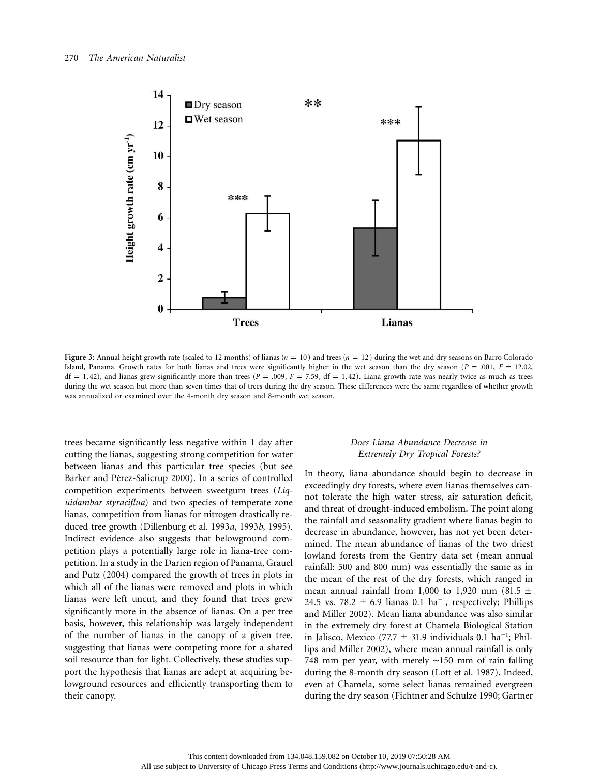

**Figure 3:** Annual height growth rate (scaled to 12 months) of lianas  $(n = 10)$  and trees  $(n = 12)$  during the wet and dry seasons on Barro Colorado Island, Panama. Growth rates for both lianas and trees were significantly higher in the wet season than the dry season ( $P = .001$ ,  $F = 12.02$ ,  $df = 1, 42$ ), and lianas grew significantly more than trees ( $P = .009$ ,  $F = 7.59$ ,  $df = 1, 42$ ). Liana growth rate was nearly twice as much as trees during the wet season but more than seven times that of trees during the dry season. These differences were the same regardless of whether growth was annualized or examined over the 4-month dry season and 8-month wet season.

trees became significantly less negative within 1 day after cutting the lianas, suggesting strong competition for water between lianas and this particular tree species (but see Barker and Pérez-Salicrup 2000). In a series of controlled competition experiments between sweetgum trees (*Liquidambar styraciflua*) and two species of temperate zone lianas, competition from lianas for nitrogen drastically reduced tree growth (Dillenburg et al. 1993*a*, 1993*b*, 1995). Indirect evidence also suggests that belowground competition plays a potentially large role in liana-tree competition. In a study in the Darien region of Panama, Grauel and Putz (2004) compared the growth of trees in plots in which all of the lianas were removed and plots in which lianas were left uncut, and they found that trees grew significantly more in the absence of lianas. On a per tree basis, however, this relationship was largely independent of the number of lianas in the canopy of a given tree, suggesting that lianas were competing more for a shared soil resource than for light. Collectively, these studies support the hypothesis that lianas are adept at acquiring belowground resources and efficiently transporting them to their canopy.

#### *Does Liana Abundance Decrease in Extremely Dry Tropical Forests?*

In theory, liana abundance should begin to decrease in exceedingly dry forests, where even lianas themselves cannot tolerate the high water stress, air saturation deficit, and threat of drought-induced embolism. The point along the rainfall and seasonality gradient where lianas begin to decrease in abundance, however, has not yet been determined. The mean abundance of lianas of the two driest lowland forests from the Gentry data set (mean annual rainfall: 500 and 800 mm) was essentially the same as in the mean of the rest of the dry forests, which ranged in mean annual rainfall from 1,000 to 1,920 mm (81.5  $\pm$ 24.5 vs. 78.2  $\pm$  6.9 lianas 0.1 ha<sup>-1</sup>, respectively; Phillips and Miller 2002). Mean liana abundance was also similar in the extremely dry forest at Chamela Biological Station in Jalisco, Mexico (77.7  $\pm$  31.9 individuals 0.1 ha<sup>-1</sup>; Phillips and Miller 2002), where mean annual rainfall is only 748 mm per year, with merely ∼150 mm of rain falling during the 8-month dry season (Lott et al. 1987). Indeed, even at Chamela, some select lianas remained evergreen during the dry season (Fichtner and Schulze 1990; Gartner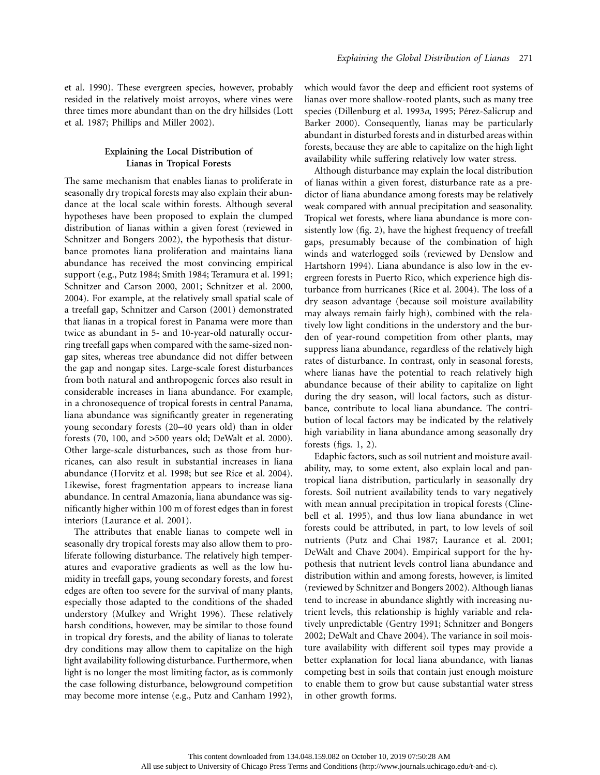et al. 1990). These evergreen species, however, probably resided in the relatively moist arroyos, where vines were three times more abundant than on the dry hillsides (Lott et al. 1987; Phillips and Miller 2002).

#### **Explaining the Local Distribution of Lianas in Tropical Forests**

The same mechanism that enables lianas to proliferate in seasonally dry tropical forests may also explain their abundance at the local scale within forests. Although several hypotheses have been proposed to explain the clumped distribution of lianas within a given forest (reviewed in Schnitzer and Bongers 2002), the hypothesis that disturbance promotes liana proliferation and maintains liana abundance has received the most convincing empirical support (e.g., Putz 1984; Smith 1984; Teramura et al. 1991; Schnitzer and Carson 2000, 2001; Schnitzer et al. 2000, 2004). For example, at the relatively small spatial scale of a treefall gap, Schnitzer and Carson (2001) demonstrated that lianas in a tropical forest in Panama were more than twice as abundant in 5- and 10-year-old naturally occurring treefall gaps when compared with the same-sized nongap sites, whereas tree abundance did not differ between the gap and nongap sites. Large-scale forest disturbances from both natural and anthropogenic forces also result in considerable increases in liana abundance. For example, in a chronosequence of tropical forests in central Panama, liana abundance was significantly greater in regenerating young secondary forests (20–40 years old) than in older forests  $(70, 100, \text{ and } >500 \text{ years old};$  DeWalt et al. 2000). Other large-scale disturbances, such as those from hurricanes, can also result in substantial increases in liana abundance (Horvitz et al. 1998; but see Rice et al. 2004). Likewise, forest fragmentation appears to increase liana abundance. In central Amazonia, liana abundance was significantly higher within 100 m of forest edges than in forest interiors (Laurance et al. 2001).

The attributes that enable lianas to compete well in seasonally dry tropical forests may also allow them to proliferate following disturbance. The relatively high temperatures and evaporative gradients as well as the low humidity in treefall gaps, young secondary forests, and forest edges are often too severe for the survival of many plants, especially those adapted to the conditions of the shaded understory (Mulkey and Wright 1996). These relatively harsh conditions, however, may be similar to those found in tropical dry forests, and the ability of lianas to tolerate dry conditions may allow them to capitalize on the high light availability following disturbance. Furthermore, when light is no longer the most limiting factor, as is commonly the case following disturbance, belowground competition may become more intense (e.g., Putz and Canham 1992),

which would favor the deep and efficient root systems of lianas over more shallow-rooted plants, such as many tree species (Dillenburg et al. 1993*a*, 1995; Pérez-Salicrup and Barker 2000). Consequently, lianas may be particularly abundant in disturbed forests and in disturbed areas within forests, because they are able to capitalize on the high light availability while suffering relatively low water stress.

Although disturbance may explain the local distribution of lianas within a given forest, disturbance rate as a predictor of liana abundance among forests may be relatively weak compared with annual precipitation and seasonality. Tropical wet forests, where liana abundance is more consistently low (fig. 2), have the highest frequency of treefall gaps, presumably because of the combination of high winds and waterlogged soils (reviewed by Denslow and Hartshorn 1994). Liana abundance is also low in the evergreen forests in Puerto Rico, which experience high disturbance from hurricanes (Rice et al. 2004). The loss of a dry season advantage (because soil moisture availability may always remain fairly high), combined with the relatively low light conditions in the understory and the burden of year-round competition from other plants, may suppress liana abundance, regardless of the relatively high rates of disturbance. In contrast, only in seasonal forests, where lianas have the potential to reach relatively high abundance because of their ability to capitalize on light during the dry season, will local factors, such as disturbance, contribute to local liana abundance. The contribution of local factors may be indicated by the relatively high variability in liana abundance among seasonally dry forests (figs. 1, 2).

Edaphic factors, such as soil nutrient and moisture availability, may, to some extent, also explain local and pantropical liana distribution, particularly in seasonally dry forests. Soil nutrient availability tends to vary negatively with mean annual precipitation in tropical forests (Clinebell et al. 1995), and thus low liana abundance in wet forests could be attributed, in part, to low levels of soil nutrients (Putz and Chai 1987; Laurance et al. 2001; DeWalt and Chave 2004). Empirical support for the hypothesis that nutrient levels control liana abundance and distribution within and among forests, however, is limited (reviewed by Schnitzer and Bongers 2002). Although lianas tend to increase in abundance slightly with increasing nutrient levels, this relationship is highly variable and relatively unpredictable (Gentry 1991; Schnitzer and Bongers 2002; DeWalt and Chave 2004). The variance in soil moisture availability with different soil types may provide a better explanation for local liana abundance, with lianas competing best in soils that contain just enough moisture to enable them to grow but cause substantial water stress in other growth forms.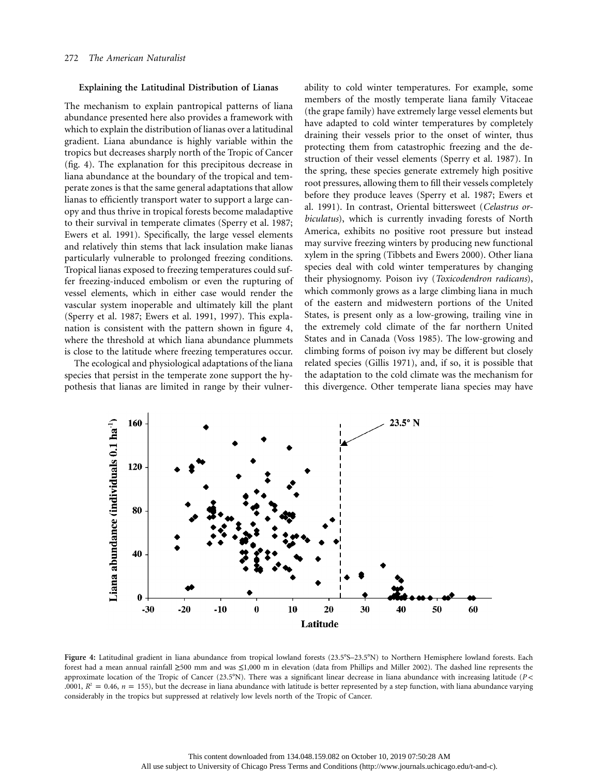#### **Explaining the Latitudinal Distribution of Lianas**

The mechanism to explain pantropical patterns of liana abundance presented here also provides a framework with which to explain the distribution of lianas over a latitudinal gradient. Liana abundance is highly variable within the tropics but decreases sharply north of the Tropic of Cancer (fig. 4). The explanation for this precipitous decrease in liana abundance at the boundary of the tropical and temperate zones is that the same general adaptations that allow lianas to efficiently transport water to support a large canopy and thus thrive in tropical forests become maladaptive to their survival in temperate climates (Sperry et al. 1987; Ewers et al. 1991). Specifically, the large vessel elements and relatively thin stems that lack insulation make lianas particularly vulnerable to prolonged freezing conditions. Tropical lianas exposed to freezing temperatures could suffer freezing-induced embolism or even the rupturing of vessel elements, which in either case would render the vascular system inoperable and ultimately kill the plant (Sperry et al. 1987; Ewers et al. 1991, 1997). This explanation is consistent with the pattern shown in figure 4, where the threshold at which liana abundance plummets is close to the latitude where freezing temperatures occur.

The ecological and physiological adaptations of the liana species that persist in the temperate zone support the hypothesis that lianas are limited in range by their vulnerability to cold winter temperatures. For example, some members of the mostly temperate liana family Vitaceae (the grape family) have extremely large vessel elements but have adapted to cold winter temperatures by completely draining their vessels prior to the onset of winter, thus protecting them from catastrophic freezing and the destruction of their vessel elements (Sperry et al. 1987). In the spring, these species generate extremely high positive root pressures, allowing them to fill their vessels completely before they produce leaves (Sperry et al. 1987; Ewers et al. 1991). In contrast, Oriental bittersweet (*Celastrus orbiculatus*), which is currently invading forests of North America, exhibits no positive root pressure but instead may survive freezing winters by producing new functional xylem in the spring (Tibbets and Ewers 2000). Other liana species deal with cold winter temperatures by changing their physiognomy. Poison ivy (*Toxicodendron radicans*), which commonly grows as a large climbing liana in much of the eastern and midwestern portions of the United States, is present only as a low-growing, trailing vine in the extremely cold climate of the far northern United States and in Canada (Voss 1985). The low-growing and climbing forms of poison ivy may be different but closely related species (Gillis 1971), and, if so, it is possible that the adaptation to the cold climate was the mechanism for this divergence. Other temperate liana species may have



Figure 4: Latitudinal gradient in liana abundance from tropical lowland forests (23.5°S–23.5°N) to Northern Hemisphere lowland forests. Each forest had a mean annual rainfall ≥500 mm and was ≤1,000 m in elevation (data from Phillips and Miller 2002). The dashed line represents the approximate location of the Tropic of Cancer (23.5°N). There was a significant linear decrease in liana abundance with increasing latitude (*P* < ,0001,  $R^2 = 0.46$ ,  $n = 155$ ), but the decrease in liana abundance with latitude is better represented by a step function, with liana abundance varying considerably in the tropics but suppressed at relatively low levels north of the Tropic of Cancer.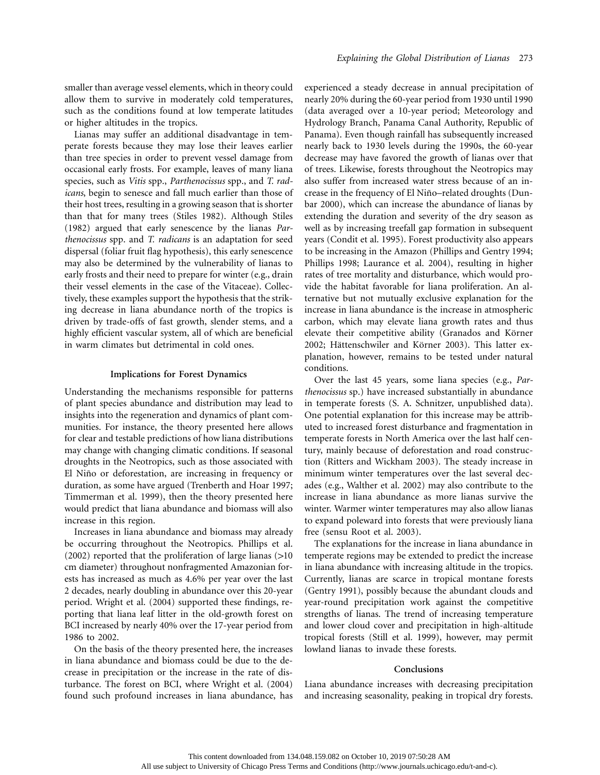smaller than average vessel elements, which in theory could allow them to survive in moderately cold temperatures, such as the conditions found at low temperate latitudes or higher altitudes in the tropics.

Lianas may suffer an additional disadvantage in temperate forests because they may lose their leaves earlier than tree species in order to prevent vessel damage from occasional early frosts. For example, leaves of many liana species, such as *Vitis* spp., *Parthenocissus* spp., and *T. radicans*, begin to senesce and fall much earlier than those of their host trees, resulting in a growing season that is shorter than that for many trees (Stiles 1982). Although Stiles (1982) argued that early senescence by the lianas *Parthenocissus* spp. and *T. radicans* is an adaptation for seed dispersal (foliar fruit flag hypothesis), this early senescence may also be determined by the vulnerability of lianas to early frosts and their need to prepare for winter (e.g., drain their vessel elements in the case of the Vitaceae). Collectively, these examples support the hypothesis that the striking decrease in liana abundance north of the tropics is driven by trade-offs of fast growth, slender stems, and a highly efficient vascular system, all of which are beneficial in warm climates but detrimental in cold ones.

#### **Implications for Forest Dynamics**

Understanding the mechanisms responsible for patterns of plant species abundance and distribution may lead to insights into the regeneration and dynamics of plant communities. For instance, the theory presented here allows for clear and testable predictions of how liana distributions may change with changing climatic conditions. If seasonal droughts in the Neotropics, such as those associated with El Niño or deforestation, are increasing in frequency or duration, as some have argued (Trenberth and Hoar 1997; Timmerman et al. 1999), then the theory presented here would predict that liana abundance and biomass will also increase in this region.

Increases in liana abundance and biomass may already be occurring throughout the Neotropics. Phillips et al.  $(2002)$  reported that the proliferation of large lianas  $(>10)$ cm diameter) throughout nonfragmented Amazonian forests has increased as much as 4.6% per year over the last 2 decades, nearly doubling in abundance over this 20-year period. Wright et al. (2004) supported these findings, reporting that liana leaf litter in the old-growth forest on BCI increased by nearly 40% over the 17-year period from 1986 to 2002.

On the basis of the theory presented here, the increases in liana abundance and biomass could be due to the decrease in precipitation or the increase in the rate of disturbance. The forest on BCI, where Wright et al. (2004) found such profound increases in liana abundance, has experienced a steady decrease in annual precipitation of nearly 20% during the 60-year period from 1930 until 1990 (data averaged over a 10-year period; Meteorology and Hydrology Branch, Panama Canal Authority, Republic of Panama). Even though rainfall has subsequently increased nearly back to 1930 levels during the 1990s, the 60-year decrease may have favored the growth of lianas over that of trees. Likewise, forests throughout the Neotropics may also suffer from increased water stress because of an increase in the frequency of El Niño-related droughts (Dunbar 2000), which can increase the abundance of lianas by extending the duration and severity of the dry season as well as by increasing treefall gap formation in subsequent years (Condit et al. 1995). Forest productivity also appears to be increasing in the Amazon (Phillips and Gentry 1994; Phillips 1998; Laurance et al. 2004), resulting in higher rates of tree mortality and disturbance, which would provide the habitat favorable for liana proliferation. An alternative but not mutually exclusive explanation for the increase in liana abundance is the increase in atmospheric carbon, which may elevate liana growth rates and thus elevate their competitive ability (Granados and Körner 2002; Hättenschwiler and Körner 2003). This latter explanation, however, remains to be tested under natural conditions.

Over the last 45 years, some liana species (e.g., *Parthenocissus* sp.) have increased substantially in abundance in temperate forests (S. A. Schnitzer, unpublished data). One potential explanation for this increase may be attributed to increased forest disturbance and fragmentation in temperate forests in North America over the last half century, mainly because of deforestation and road construction (Ritters and Wickham 2003). The steady increase in minimum winter temperatures over the last several decades (e.g., Walther et al. 2002) may also contribute to the increase in liana abundance as more lianas survive the winter. Warmer winter temperatures may also allow lianas to expand poleward into forests that were previously liana free (sensu Root et al. 2003).

The explanations for the increase in liana abundance in temperate regions may be extended to predict the increase in liana abundance with increasing altitude in the tropics. Currently, lianas are scarce in tropical montane forests (Gentry 1991), possibly because the abundant clouds and year-round precipitation work against the competitive strengths of lianas. The trend of increasing temperature and lower cloud cover and precipitation in high-altitude tropical forests (Still et al. 1999), however, may permit lowland lianas to invade these forests.

#### **Conclusions**

Liana abundance increases with decreasing precipitation and increasing seasonality, peaking in tropical dry forests.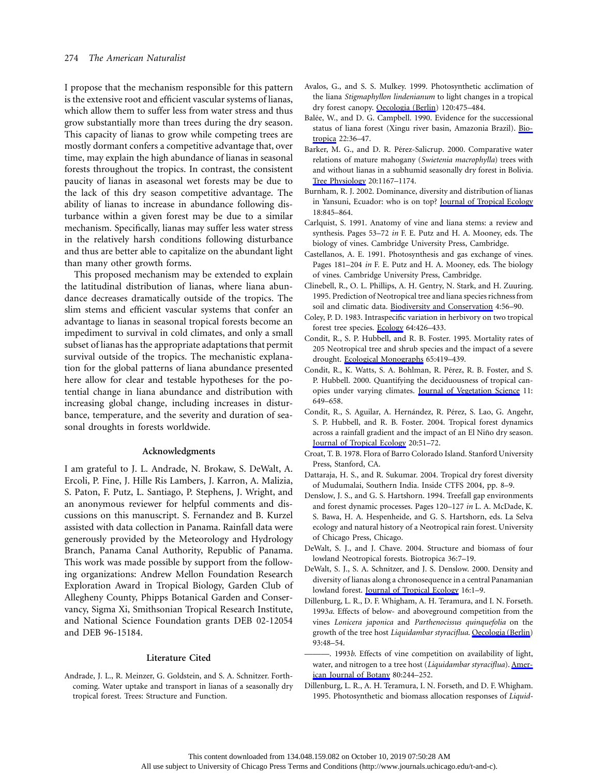I propose that the mechanism responsible for this pattern is the extensive root and efficient vascular systems of lianas, which allow them to suffer less from water stress and thus grow substantially more than trees during the dry season. This capacity of lianas to grow while competing trees are mostly dormant confers a competitive advantage that, over time, may explain the high abundance of lianas in seasonal forests throughout the tropics. In contrast, the consistent paucity of lianas in aseasonal wet forests may be due to the lack of this dry season competitive advantage. The ability of lianas to increase in abundance following disturbance within a given forest may be due to a similar mechanism. Specifically, lianas may suffer less water stress in the relatively harsh conditions following disturbance and thus are better able to capitalize on the abundant light than many other growth forms.

This proposed mechanism may be extended to explain the latitudinal distribution of lianas, where liana abundance decreases dramatically outside of the tropics. The slim stems and efficient vascular systems that confer an advantage to lianas in seasonal tropical forests become an impediment to survival in cold climates, and only a small subset of lianas has the appropriate adaptations that permit survival outside of the tropics. The mechanistic explanation for the global patterns of liana abundance presented here allow for clear and testable hypotheses for the potential change in liana abundance and distribution with increasing global change, including increases in disturbance, temperature, and the severity and duration of seasonal droughts in forests worldwide.

#### **Acknowledgments**

I am grateful to J. L. Andrade, N. Brokaw, S. DeWalt, A. Ercoli, P. Fine, J. Hille Ris Lambers, J. Karron, A. Malizia, S. Paton, F. Putz, L. Santiago, P. Stephens, J. Wright, and an anonymous reviewer for helpful comments and discussions on this manuscript. S. Fernandez and B. Kurzel assisted with data collection in Panama. Rainfall data were generously provided by the Meteorology and Hydrology Branch, Panama Canal Authority, Republic of Panama. This work was made possible by support from the following organizations: Andrew Mellon Foundation Research Exploration Award in Tropical Biology, Garden Club of Allegheny County, Phipps Botanical Garden and Conservancy, Sigma Xi, Smithsonian Tropical Research Institute, and National Science Foundation grants DEB 02-12054 and DEB 96-15184.

#### **Literature Cited**

Andrade, J. L., R. Meinzer, G. Goldstein, and S. A. Schnitzer. Forthcoming. Water uptake and transport in lianas of a seasonally dry tropical forest. Trees: Structure and Function.

- Avalos, G., and S. S. Mulkey. 1999. Photosynthetic acclimation of the liana *Stigmaphyllon lindenianum* to light changes in a tropical dry forest canopy. [Oecologia \(Berlin\)](https://www.journals.uchicago.edu/action/showLinks?doi=10.1086%2F431250&pmid=28308296&crossref=10.1007%2Fs004420050880&citationId=p_2) 120:475–484.
- Balée, W., and D. G. Campbell. 1990. Evidence for the successional status of liana forest (Xingu river basin, Amazonia Brazil). [Bio](https://www.journals.uchicago.edu/action/showLinks?doi=10.1086%2F431250&crossref=10.2307%2F2388717&citationId=p_3)[tropica](https://www.journals.uchicago.edu/action/showLinks?doi=10.1086%2F431250&crossref=10.2307%2F2388717&citationId=p_3) 22:36–47.
- Barker, M. G., and D. R. Pérez-Salicrup. 2000. Comparative water relations of mature mahogany (*Swietenia macrophylla*) trees with and without lianas in a subhumid seasonally dry forest in Bolivia. [Tree Physiology](https://www.journals.uchicago.edu/action/showLinks?doi=10.1086%2F431250&pmid=12651492&crossref=10.1093%2Ftreephys%2F20.17.1167&citationId=p_4) 20:1167–1174.
- Burnham, R. J. 2002. Dominance, diversity and distribution of lianas in Yansuni, Ecuador: who is on top? [Journal of Tropical Ecology](https://www.journals.uchicago.edu/action/showLinks?doi=10.1086%2F431250&crossref=10.1017%2FS0266467402002559&citationId=p_5) 18:845–864.
- Carlquist, S. 1991. Anatomy of vine and liana stems: a review and synthesis. Pages 53–72 *in* F. E. Putz and H. A. Mooney, eds. The biology of vines. Cambridge University Press, Cambridge.
- Castellanos, A. E. 1991. Photosynthesis and gas exchange of vines. Pages 181–204 *in* F. E. Putz and H. A. Mooney, eds. The biology of vines. Cambridge University Press, Cambridge.
- Clinebell, R., O. L. Phillips, A. H. Gentry, N. Stark, and H. Zuuring. 1995. Prediction of Neotropical tree and liana species richness from soil and climatic data. [Biodiversity and Conservation](https://www.journals.uchicago.edu/action/showLinks?doi=10.1086%2F431250&crossref=10.1007%2FBF00115314&citationId=p_9) 4:56–90.
- Coley, P. D. 1983. Intraspecific variation in herbivory on two tropical forest tree species. [Ecology](https://www.journals.uchicago.edu/action/showLinks?doi=10.1086%2F431250&crossref=10.2307%2F1939960&citationId=p_10) 64:426–433.
- Condit, R., S. P. Hubbell, and R. B. Foster. 1995. Mortality rates of 205 Neotropical tree and shrub species and the impact of a severe drought. [Ecological Monographs](https://www.journals.uchicago.edu/action/showLinks?doi=10.1086%2F431250&crossref=10.2307%2F2963497&citationId=p_11) 65:419–439.
- Condit, R., K. Watts, S. A. Bohlman, R. Pérez, R. B. Foster, and S. P. Hubbell. 2000. Quantifying the deciduousness of tropical canopies under varying climates. [Journal of Vegetation Science](https://www.journals.uchicago.edu/action/showLinks?doi=10.1086%2F431250&crossref=10.2307%2F3236572&citationId=p_12) 11: 649–658.
- Condit, R., S. Aguilar, A. Hernández, R. Pérez, S. Lao, G. Angehr, S. P. Hubbell, and R. B. Foster. 2004. Tropical forest dynamics across a rainfall gradient and the impact of an El Niño dry season. [Journal of Tropical Ecology](https://www.journals.uchicago.edu/action/showLinks?doi=10.1086%2F431250&crossref=10.1017%2FS0266467403001081&citationId=p_13) 20:51–72.
- Croat, T. B. 1978. Flora of Barro Colorado Island. Stanford University Press, Stanford, CA.
- Dattaraja, H. S., and R. Sukumar. 2004. Tropical dry forest diversity of Mudumalai, Southern India. Inside CTFS 2004, pp. 8–9.
- Denslow, J. S., and G. S. Hartshorn. 1994. Treefall gap environments and forest dynamic processes. Pages 120–127 *in* L. A. McDade, K. S. Bawa, H. A. Hespenheide, and G. S. Hartshorn, eds. La Selva ecology and natural history of a Neotropical rain forest. University of Chicago Press, Chicago.
- DeWalt, S. J., and J. Chave. 2004. Structure and biomass of four lowland Neotropical forests. Biotropica 36:7–19.
- DeWalt, S. J., S. A. Schnitzer, and J. S. Denslow. 2000. Density and diversity of lianas along a chronosequence in a central Panamanian lowland forest. [Journal of Tropical Ecology](https://www.journals.uchicago.edu/action/showLinks?doi=10.1086%2F431250&crossref=10.1017%2FS0266467400001231&citationId=p_18) 16:1–9.
- Dillenburg, L. R., D. F. Whigham, A. H. Teramura, and I. N. Forseth. 1993*a*. Effects of below- and aboveground competition from the vines *Lonicera japonica* and *Parthenocissus quinquefolia* on the growth of the tree host *Liquidambar styraciflua*. [Oecologia \(Berlin](https://www.journals.uchicago.edu/action/showLinks?doi=10.1086%2F431250&pmid=28313773&crossref=10.1007%2FBF00321190&citationId=p_20)) 93:48–54.
- ———. 1993*b*. Effects of vine competition on availability of light, water, and nitrogen to a tree host (*Liquidambar styraciflua*). [Amer](https://www.journals.uchicago.edu/action/showLinks?doi=10.1086%2F431250&crossref=10.1002%2Fj.1537-2197.1993.tb13797.x&citationId=p_21)[ican Journal of Botany](https://www.journals.uchicago.edu/action/showLinks?doi=10.1086%2F431250&crossref=10.1002%2Fj.1537-2197.1993.tb13797.x&citationId=p_21) 80:244–252.
- Dillenburg, L. R., A. H. Teramura, I. N. Forseth, and D. F. Whigham. 1995. Photosynthetic and biomass allocation responses of *Liquid-*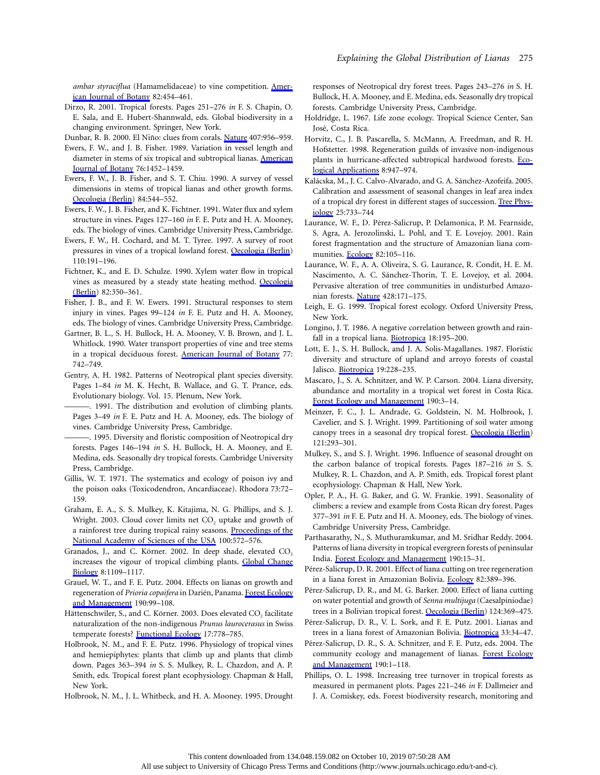*ambar styraciflua* (Hamamelidaceae) to vine competition. [Amer](https://www.journals.uchicago.edu/action/showLinks?doi=10.1086%2F431250&crossref=10.1002%2Fj.1537-2197.1995.tb15664.x&citationId=p_23)[ican Journal of Botany](https://www.journals.uchicago.edu/action/showLinks?doi=10.1086%2F431250&crossref=10.1002%2Fj.1537-2197.1995.tb15664.x&citationId=p_23) 82:454–461.

Dirzo, R. 2001. Tropical forests. Pages 251–276 *in* F. S. Chapin, O. E. Sala, and E. Hubert-Shannwald, eds. Global biodiversity in a changing environment. Springer, New York.

Dunbar, R. B. 2000. El Niño: clues from corals. [Nature](https://www.journals.uchicago.edu/action/showLinks?doi=10.1086%2F431250&pmid=11069165&crossref=10.1038%2F35039661&citationId=p_25) 407:956-959.

- Ewers, F. W., and J. B. Fisher. 1989. Variation in vessel length and diameter in stems of six tropical and subtropical lianas. [American](https://www.journals.uchicago.edu/action/showLinks?doi=10.1086%2F431250&crossref=10.1002%2Fj.1537-2197.1989.tb15126.x&citationId=p_26) [Journal of Botany](https://www.journals.uchicago.edu/action/showLinks?doi=10.1086%2F431250&crossref=10.1002%2Fj.1537-2197.1989.tb15126.x&citationId=p_26) 76:1452–1459.
- Ewers, F. W., J. B. Fisher, and S. T. Chiu. 1990. A survey of vessel dimensions in stems of tropical lianas and other growth forms. [Oecologia \(Berlin\)](https://www.journals.uchicago.edu/action/showLinks?doi=10.1086%2F431250&pmid=28312972&crossref=10.1007%2FBF00328172&citationId=p_27) 84:544–552.
- Ewers, F. W., J. B. Fisher, and K. Fichtner. 1991. Water flux and xylem structure in vines. Pages 127–160 *in* F. E. Putz and H. A. Mooney, eds. The biology of vines. Cambridge University Press, Cambridge.
- Ewers, F. W., H. Cochard, and M. T. Tyree. 1997. A survey of root pressures in vines of a tropical lowland forest. [Oecologia \(Berlin\)](https://www.journals.uchicago.edu/action/showLinks?doi=10.1086%2F431250&pmid=28307424&crossref=10.1007%2Fs004420050149&citationId=p_29) 110:191–196.
- Fichtner, K., and E. D. Schulze. 1990. Xylem water flow in tropical vines as measured by a steady state heating method. [Oecologia](https://www.journals.uchicago.edu/action/showLinks?doi=10.1086%2F431250&crossref=10.1007%2FBF00317483&citationId=p_30) [\(Berlin\)](https://www.journals.uchicago.edu/action/showLinks?doi=10.1086%2F431250&crossref=10.1007%2FBF00317483&citationId=p_30) 82:350–361.
- Fisher, J. B., and F. W. Ewers. 1991. Structural responses to stem injury in vines. Pages 99–124 *in* F. E. Putz and H. A. Mooney, eds. The biology of vines. Cambridge University Press, Cambridge.
- Gartner, B. L., S. H. Bullock, H. A. Mooney, V. B. Brown, and J. L. Whitlock. 1990. Water transport properties of vine and tree stems in a tropical deciduous forest. [American Journal of Botany](https://www.journals.uchicago.edu/action/showLinks?doi=10.1086%2F431250&crossref=10.1002%2Fj.1537-2197.1990.tb14464.x&citationId=p_32) 77: 742–749.
- Gentry, A. H. 1982. Patterns of Neotropical plant species diversity. Pages 1–84 *in* M. K. Hecht, B. Wallace, and G. T. Prance, eds. Evolutionary biology. Vol. 15. Plenum, New York.
- -, 1991. The distribution and evolution of climbing plants. Pages 3–49 *in* F. E. Putz and H. A. Mooney, eds. The biology of vines. Cambridge University Press, Cambridge.
- -. 1995. Diversity and floristic composition of Neotropical dry forests. Pages 146–194 *in* S. H. Bullock, H. A. Mooney, and E. Medina, eds. Seasonally dry tropical forests. Cambridge University Press, Cambridge.
- Gillis, W. T. 1971. The systematics and ecology of poison ivy and the poison oaks (Toxicodendron, Ancardiaceae). Rhodora 73:72– 159.
- Graham, E. A., S. S. Mulkey, K. Kitajima, N. G. Phillips, and S. J. Wright. 2003. Cloud cover limits net  $CO<sub>2</sub>$  uptake and growth of a rainforest tree during tropical rainy seasons. [Proceedings of the](https://www.journals.uchicago.edu/action/showLinks?doi=10.1086%2F431250&pmid=12518044&crossref=10.1073%2Fpnas.0133045100&citationId=p_37) [National Academy of Sciences of the USA](https://www.journals.uchicago.edu/action/showLinks?doi=10.1086%2F431250&pmid=12518044&crossref=10.1073%2Fpnas.0133045100&citationId=p_37) 100:572–576.
- Granados, J., and C. Körner. 2002. In deep shade, elevated  $CO<sub>2</sub>$ increases the vigour of tropical climbing plants. [Global Change](https://www.journals.uchicago.edu/action/showLinks?doi=10.1086%2F431250&crossref=10.1046%2Fj.1365-2486.2002.00533.x&citationId=p_38) [Biology](https://www.journals.uchicago.edu/action/showLinks?doi=10.1086%2F431250&crossref=10.1046%2Fj.1365-2486.2002.00533.x&citationId=p_38) 8:1109–1117.
- Grauel, W. T., and F. E. Putz. 2004. Effects on lianas on growth and regeneration of *Prioria copaifera* in Darién, Panama. [Forest Ecology](https://www.journals.uchicago.edu/action/showLinks?doi=10.1086%2F431250&crossref=10.1016%2Fj.foreco.2003.10.009&citationId=p_39) [and Management](https://www.journals.uchicago.edu/action/showLinks?doi=10.1086%2F431250&crossref=10.1016%2Fj.foreco.2003.10.009&citationId=p_39) 190:99–108.
- Hättenschwiler, S., and C. Körner. 2003. Does elevated CO<sub>2</sub> facilitate naturalization of the non-indigenous *Prunus laurocerasus* in Swiss temperate forests? [Functional Ecology](https://www.journals.uchicago.edu/action/showLinks?doi=10.1086%2F431250&crossref=10.1111%2Fj.1365-2435.2003.00785.x&citationId=p_40) 17:778–785.
- Holbrook, N. M., and F. E. Putz. 1996. Physiology of tropical vines and hemiepiphytes: plants that climb up and plants that climb down. Pages 363–394 *in* S. S. Mulkey, R. L. Chazdon, and A. P. Smith, eds. Tropical forest plant ecophysiology. Chapman & Hall, New York.

Holbrook, N. M., J. L. Whitbeck, and H. A. Mooney. 1995. Drought

responses of Neotropical dry forest trees. Pages 243–276 *in* S. H. Bullock, H. A. Mooney, and E. Medina, eds. Seasonally dry tropical forests. Cambridge University Press, Cambridge.

- Holdridge, L. 1967. Life zone ecology. Tropical Science Center, San José, Costa Rica.
- Horvitz, C., J. B. Pascarella, S. McMann, A. Freedman, and R. H. Hofstetter. 1998. Regeneration guilds of invasive non-indigenous plants in hurricane-affected subtropical hardwood forests. [Eco](https://www.journals.uchicago.edu/action/showLinks?doi=10.1086%2F431250&crossref=10.1890%2F1051-0761%281998%29008%5B0947%3AFROINI%5D2.0.CO%3B2&citationId=p_44)[logical Applications](https://www.journals.uchicago.edu/action/showLinks?doi=10.1086%2F431250&crossref=10.1890%2F1051-0761%281998%29008%5B0947%3AFROINI%5D2.0.CO%3B2&citationId=p_44) 8:947–974.
- Kalácska, M., J. C. Calvo-Alvarado, and G. A. Sánchez-Azofeifa. 2005. Calibration and assessment of seasonal changes in leaf area index of a tropical dry forest in different stages of succession. [Tree Phys](https://www.journals.uchicago.edu/action/showLinks?doi=10.1086%2F431250&pmid=15805093&crossref=10.1093%2Ftreephys%2F25.6.733&citationId=p_45)[iology](https://www.journals.uchicago.edu/action/showLinks?doi=10.1086%2F431250&pmid=15805093&crossref=10.1093%2Ftreephys%2F25.6.733&citationId=p_45) 25:733–744
- Laurance, W. F., D. Pérez-Salicrup, P. Delamonica, P. M. Fearnside, S. Agra, A. Jerozolinski, L. Pohl, and T. E. Lovejoy. 2001. Rain forest fragmentation and the structure of Amazonian liana communities. [Ecology](https://www.journals.uchicago.edu/action/showLinks?doi=10.1086%2F431250&crossref=10.1890%2F0012-9658%282001%29082%5B0105%3ARFFATS%5D2.0.CO%3B2&citationId=p_46) 82:105–116.
- Laurance, W. F., A. A. Oliveira, S. G. Laurance, R. Condit, H. E. M. Nascimento, A. C. Sánchez-Thorin, T. E. Lovejoy, et al. 2004. Pervasive alteration of tree communities in undisturbed Amazonian forests. [Nature](https://www.journals.uchicago.edu/action/showLinks?doi=10.1086%2F431250&pmid=15014498&crossref=10.1038%2Fnature02383&citationId=p_47) 428:171–175.
- Leigh, E. G. 1999. Tropical forest ecology. Oxford University Press, New York.
- Longino, J. T. 1986. A negative correlation between growth and rainfall in a tropical liana. [Biotropica](https://www.journals.uchicago.edu/action/showLinks?doi=10.1086%2F431250&crossref=10.2307%2F2388484&citationId=p_49) 18:195–200.
- Lott, E. J., S. H. Bullock, and J. A. Solis-Magallanes. 1987. Floristic diversity and structure of upland and arroyo forests of coastal Jalisco. [Biotropica](https://www.journals.uchicago.edu/action/showLinks?doi=10.1086%2F431250&crossref=10.2307%2F2388340&citationId=p_50) 19:228–235.
- Mascaro, J., S. A. Schnitzer, and W. P. Carson. 2004. Liana diversity, abundance and mortality in a tropical wet forest in Costa Rica. [Forest Ecology and Management](https://www.journals.uchicago.edu/action/showLinks?doi=10.1086%2F431250&crossref=10.1016%2Fj.foreco.2003.10.002&citationId=p_51) 190:3–14.
- Meinzer, F. C., J. L. Andrade, G. Goldstein, N. M. Holbrook, J. Cavelier, and S. J. Wright. 1999. Partitioning of soil water among canopy trees in a seasonal dry tropical forest. [Oecologia \(Berlin](https://www.journals.uchicago.edu/action/showLinks?doi=10.1086%2F431250&pmid=28308316&crossref=10.1007%2Fs004420050931&citationId=p_52)) 121:293–301.
- Mulkey, S., and S. J. Wright. 1996. Influence of seasonal drought on the carbon balance of tropical forests. Pages 187–216 *in* S. S. Mulkey, R. L. Chazdon, and A. P. Smith, eds. Tropical forest plant ecophysiology. Chapman & Hall, New York.
- Opler, P. A., H. G. Baker, and G. W. Frankie. 1991. Seasonality of climbers: a review and example from Costa Rican dry forest. Pages 377–391 *in* F. E. Putz and H. A. Mooney, eds. The biology of vines. Cambridge University Press, Cambridge.
- Parthasarathy, N., S. Muthuramkumar, and M. Sridhar Reddy. 2004. Patterns of liana diversity in tropical evergreen forests of peninsular India. [Forest Ecology and Management](https://www.journals.uchicago.edu/action/showLinks?doi=10.1086%2F431250&crossref=10.1016%2Fj.foreco.2003.10.003&citationId=p_55) 190:15–31.
- Pérez-Salicrup, D. R. 2001. Effect of liana cutting on tree regeneration in a liana forest in Amazonian Bolivia. [Ecology](https://www.journals.uchicago.edu/action/showLinks?doi=10.1086%2F431250&crossref=10.1890%2F0012-9658%282001%29082%5B0389%3AEOLCOT%5D2.0.CO%3B2&citationId=p_56) 82:389–396.
- Pérez-Salicrup, D. R., and M. G. Barker. 2000. Effect of liana cutting on water potential and growth of *Senna multijuga* (Caesalpiniodae) trees in a Bolivian tropical forest. [Oecologia \(Berlin](https://www.journals.uchicago.edu/action/showLinks?doi=10.1086%2F431250&crossref=10.1007%2FPL00008872&citationId=p_57)) 124:369–475.
- Pérez-Salicrup, D. R., V. L. Sork, and F. E. Putz. 2001. Lianas and trees in a liana forest of Amazonian Bolivia. [Biotropica](https://www.journals.uchicago.edu/action/showLinks?doi=10.1086%2F431250&crossref=10.1111%2Fj.1744-7429.2001.tb00155.x&citationId=p_58) 33:34–47.
- Pérez-Salicrup, D. R., S. A. Schnitzer, and F. E. Putz, eds. 2004. The community ecology and management of lianas. [Forest Ecology](https://www.journals.uchicago.edu/action/showLinks?doi=10.1086%2F431250&crossref=10.1016%2Fj.foreco.2003.10.001&citationId=p_59) [and Management](https://www.journals.uchicago.edu/action/showLinks?doi=10.1086%2F431250&crossref=10.1016%2Fj.foreco.2003.10.001&citationId=p_59) 190:1–118.
- Phillips, O. L. 1998. Increasing tree turnover in tropical forests as measured in permanent plots. Pages 221–246 *in* F. Dallmeier and J. A. Comiskey, eds. Forest biodiversity research, monitoring and